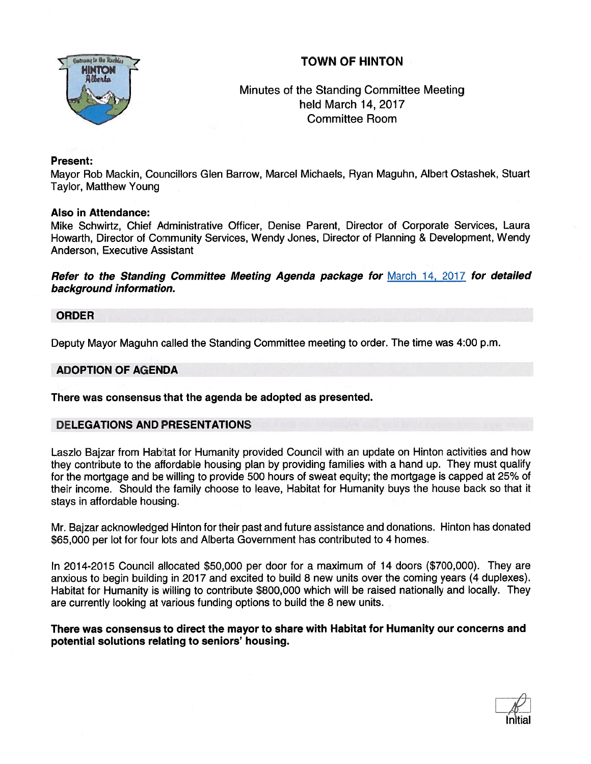# TOWN OF HINTON



# Minutes of the Standing Committee Meeting held March 14, 2017 Committee Room

## Present:

Mayor Rob Mackin, Councillors Glen Barrow, Marcel Michaels, Ryan Maguhn, Albert Ostashek, Stuart Taylor, Matthew Young

### Also in Attendance:

Mike Schwirtz, Chief Administrative Officer, Denise Parent, Director of Corporate Services, Laura Howarth, Director of Community Services, Wendy Jones, Director of Planning & Development, Wendy Anderson, Executive Assistant

Refer to the Standing Committee Meeting Agenda package for March 14, <sup>2017</sup> for detailed background information.

## ORDER

Deputy Mayor Maguhn called the Standing Committee meeting to order. The time was 4:00 p.m.

# ADOPTION OF AGENDA

There was consensus that the agenda be adopted as presented.

# DELEGATIONS AND PRESENTATIONS

Laszlo Bajzar from Habitat for Humanity provided Council with an update on Hinton activities and how they contribute to the affordable housing plan by providing families with <sup>a</sup> hand up. They must qualify for the mortgage and be willing to provide 500 hours of sweat equity; the mortgage is capped at 25% of their income. Should the family choose to leave, Habitat for Humanity buys the house back so that it stays in affordable housing.

Mr. Bajzar acknowledged Hinton for their pas<sup>t</sup> and future assistance and donations. Hinton has donated \$65,000 per lot for four lots and Alberta Government has contributed to 4 homes.

In 2014-2015 Council allocated \$50,000 per door for <sup>a</sup> maximum of 14 doors (\$700,000). They are anxious to begin building in 2017 and excited to build 8 new units over the coming years (4 duplexes). Habitat for Humanity is willing to contribute \$800,000 which will be raised nationally and locally. They are currently looking at various funding options to build the 8 new units.

## There was consensus to direct the mayor to share with Habitat for Humanity our concerns and potential solutions relating to seniors' housing.

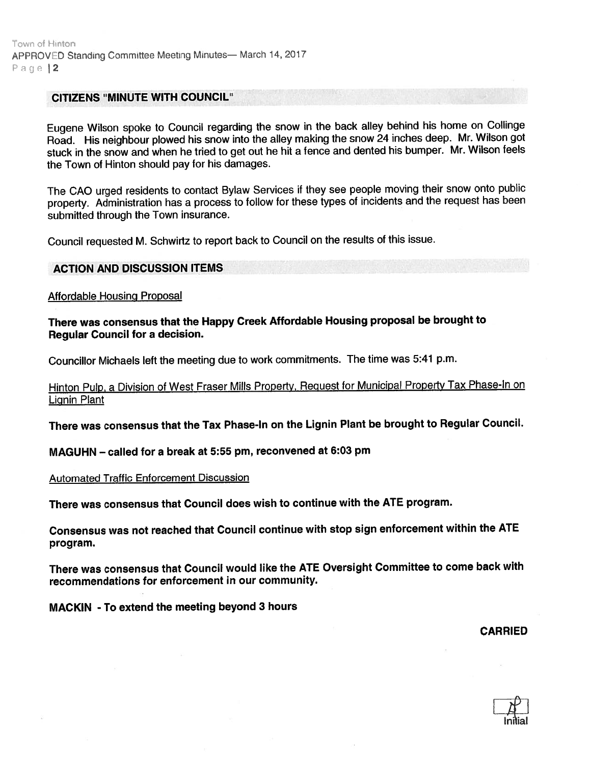#### CITIZENS "MINUTE WITH COUNCIL"

Eugene Wilson spoke to Council regarding the snow in the back alley behind his home on Collinge Road. His neighbour <sup>p</sup>lowed his snow into the alley making the snow <sup>24</sup> inches deep. Mr. Wilson go<sup>t</sup> stuck in the snow and when he tried to ge<sup>t</sup> out he hit <sup>a</sup> fence and dented his bumper. Mr. Wilson feels the Town of Hinton should pay for his damages.

The CAO urge<sup>d</sup> residents to contact Bylaw Services if they see people moving their snow onto public property. Administration has <sup>a</sup> process to follow for these types of incidents and the reques<sup>t</sup> has been submitted through the Town insurance.

Council requested M. Schwirtz to repor<sup>t</sup> back to Council on the results of this issue.

#### ACTION AND DISCUSSION ITEMS

Affordable Housinq Proposal

There was consensus that the Happy Creek Affordable Housing proposa<sup>l</sup> be brought to Regular Council for <sup>a</sup> decision.

Councillor Michaels left the meeting due to work commitments. The time was 5:41 p.m.

Hinton Pulp, <sup>a</sup> Division of West Fraser Mills Property, Request for Municipal Property Tax Phase-In on Lignin Plant

There was consensus that the Tax Phase-In on the Lignin Plant be brought to Regular Council.

MAGUHN — called for <sup>a</sup> break at 5:55 pm, reconvened at 6:03 pm

Automated Traffic Entorcement Discussion

There was consensus that Council does wish to continue with the ATE program.

Consensus was not reached that Council continue with stop sign enforcement within the ATE program.

There was consensus that Council would like the ATE Oversight Committee to come back with recommendations for enforcement in our community.

MACKIN - To extend the meeting beyond 3 hours

CARRIED